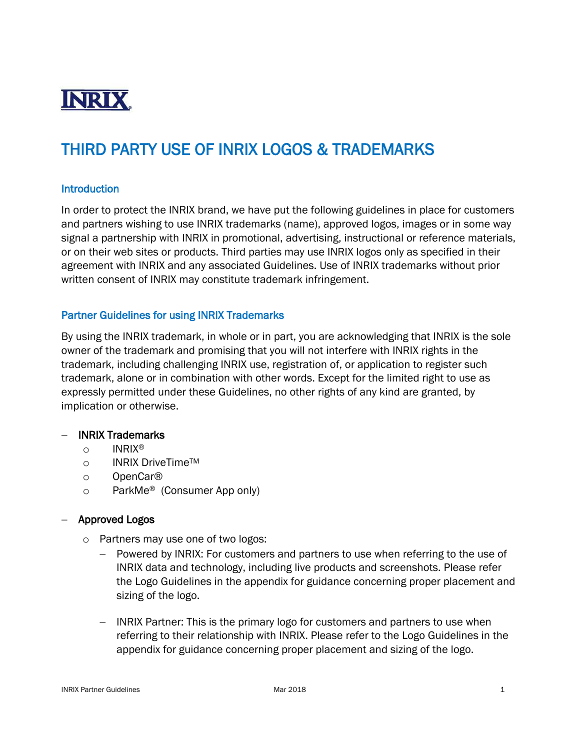

# THIRD PARTY USE OF INRIX LOGOS & TRADEMARKS

## **Introduction**

In order to protect the INRIX brand, we have put the following guidelines in place for customers and partners wishing to use INRIX trademarks (name), approved logos, images or in some way signal a partnership with INRIX in promotional, advertising, instructional or reference materials, or on their web sites or products. Third parties may use INRIX logos only as specified in their agreement with INRIX and any associated Guidelines. Use of INRIX trademarks without prior written consent of INRIX may constitute trademark infringement.

# Partner Guidelines for using INRIX Trademarks

By using the INRIX trademark, in whole or in part, you are acknowledging that INRIX is the sole owner of the trademark and promising that you will not interfere with INRIX rights in the trademark, including challenging INRIX use, registration of, or application to register such trademark, alone or in combination with other words. Except for the limited right to use as expressly permitted under these Guidelines, no other rights of any kind are granted, by implication or otherwise.

#### INRIX Trademarks

- o INRIX®
- o INRIX DriveTime™
- o OpenCar®
- o ParkMe® (Consumer App only)

#### Approved Logos

- o Partners may use one of two logos:
	- Powered by INRIX: For customers and partners to use when referring to the use of INRIX data and technology, including live products and screenshots. Please refer the Logo Guidelines in the appendix for guidance concerning proper placement and sizing of the logo.
	- INRIX Partner: This is the primary logo for customers and partners to use when referring to their relationship with INRIX. Please refer to the Logo Guidelines in the appendix for guidance concerning proper placement and sizing of the logo.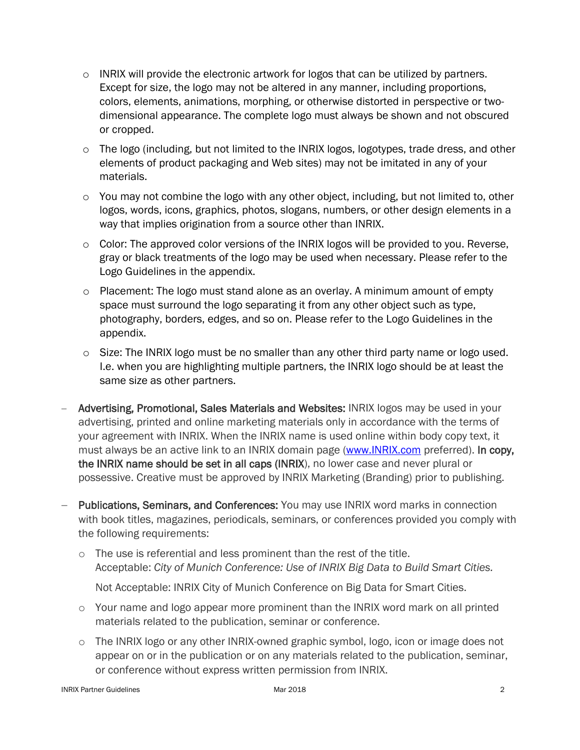- $\circ$  INRIX will provide the electronic artwork for logos that can be utilized by partners. Except for size, the logo may not be altered in any manner, including proportions, colors, elements, animations, morphing, or otherwise distorted in perspective or twodimensional appearance. The complete logo must always be shown and not obscured or cropped.
- o The logo (including, but not limited to the INRIX logos, logotypes, trade dress, and other elements of product packaging and Web sites) may not be imitated in any of your materials.
- $\circ$  You may not combine the logo with any other object, including, but not limited to, other logos, words, icons, graphics, photos, slogans, numbers, or other design elements in a way that implies origination from a source other than INRIX.
- $\circ$  Color: The approved color versions of the INRIX logos will be provided to you. Reverse, gray or black treatments of the logo may be used when necessary. Please refer to the Logo Guidelines in the appendix.
- o Placement: The logo must stand alone as an overlay. A minimum amount of empty space must surround the logo separating it from any other object such as type, photography, borders, edges, and so on. Please refer to the Logo Guidelines in the appendix.
- o Size: The INRIX logo must be no smaller than any other third party name or logo used. I.e. when you are highlighting multiple partners, the INRIX logo should be at least the same size as other partners.
- Advertising, Promotional, Sales Materials and Websites: INRIX logos may be used in your advertising, printed and online marketing materials only in accordance with the terms of your agreement with INRIX. When the INRIX name is used online within body copy text, it must always be an active link to an INRIX domain page [\(www.INRIX.com](http://www.inrix.com/) preferred). In copy, the INRIX name should be set in all caps (INRIX), no lower case and never plural or possessive. Creative must be approved by INRIX Marketing (Branding) prior to publishing.
- Publications, Seminars, and Conferences: You may use INRIX word marks in connection with book titles, magazines, periodicals, seminars, or conferences provided you comply with the following requirements:
	- o The use is referential and less prominent than the rest of the title. Acceptable: *City of Munich Conference: Use of INRIX Big Data to Build Smart Cities.*
		- Not Acceptable: INRIX City of Munich Conference on Big Data for Smart Cities.
	- $\circ$  Your name and logo appear more prominent than the INRIX word mark on all printed materials related to the publication, seminar or conference.
	- o The INRIX logo or any other INRIX-owned graphic symbol, logo, icon or image does not appear on or in the publication or on any materials related to the publication, seminar, or conference without express written permission from INRIX.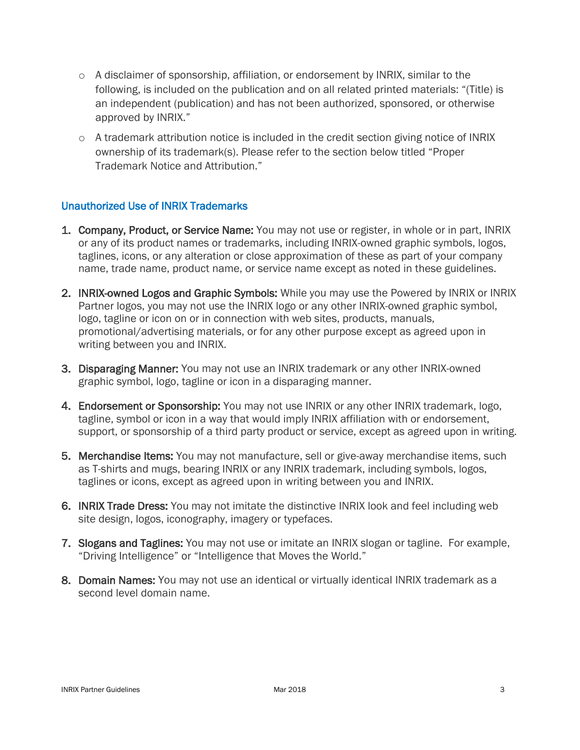- o A disclaimer of sponsorship, affiliation, or endorsement by INRIX, similar to the following, is included on the publication and on all related printed materials: "(Title) is an independent (publication) and has not been authorized, sponsored, or otherwise approved by INRIX."
- $\circ$  A trademark attribution notice is included in the credit section giving notice of INRIX ownership of its trademark(s). Please refer to the section below titled "Proper Trademark Notice and Attribution."

# Unauthorized Use of INRIX Trademarks

- 1. Company, Product, or Service Name: You may not use or register, in whole or in part, INRIX or any of its product names or trademarks, including INRIX-owned graphic symbols, logos, taglines, icons, or any alteration or close approximation of these as part of your company name, trade name, product name, or service name except as noted in these guidelines.
- 2. INRIX-owned Logos and Graphic Symbols: While you may use the Powered by INRIX or INRIX Partner logos, you may not use the INRIX logo or any other INRIX-owned graphic symbol, logo, tagline or icon on or in connection with web sites, products, manuals, promotional/advertising materials, or for any other purpose except as agreed upon in writing between you and INRIX.
- 3. Disparaging Manner: You may not use an INRIX trademark or any other INRIX-owned graphic symbol, logo, tagline or icon in a disparaging manner.
- 4. Endorsement or Sponsorship: You may not use INRIX or any other INRIX trademark, logo, tagline, symbol or icon in a way that would imply INRIX affiliation with or endorsement, support, or sponsorship of a third party product or service, except as agreed upon in writing.
- 5. Merchandise Items: You may not manufacture, sell or give-away merchandise items, such as T-shirts and mugs, bearing INRIX or any INRIX trademark, including symbols, logos, taglines or icons, except as agreed upon in writing between you and INRIX.
- 6. **INRIX Trade Dress:** You may not imitate the distinctive INRIX look and feel including web site design, logos, iconography, imagery or typefaces.
- 7. Slogans and Taglines: You may not use or imitate an INRIX slogan or tagline. For example, "Driving Intelligence" or "Intelligence that Moves the World."
- 8. Domain Names: You may not use an identical or virtually identical INRIX trademark as a second level domain name.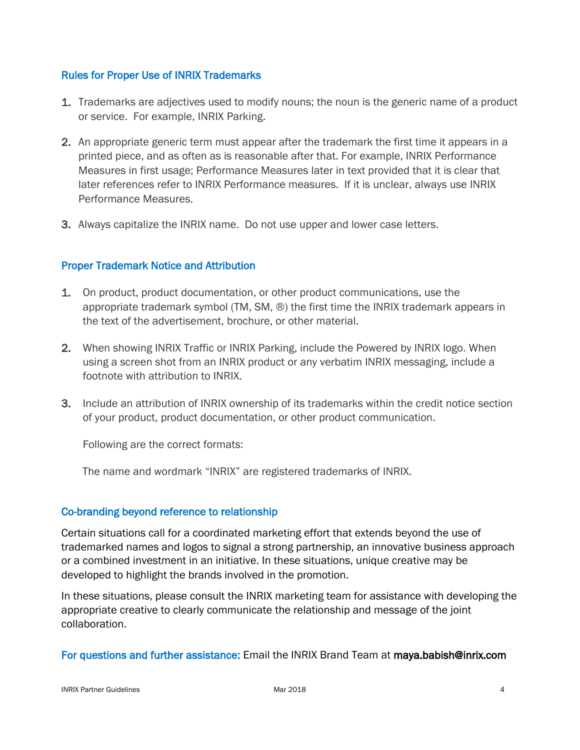# Rules for Proper Use of INRIX Trademarks

- 1. Trademarks are adjectives used to modify nouns; the noun is the generic name of a product or service. For example, INRIX Parking.
- 2. An appropriate generic term must appear after the trademark the first time it appears in a printed piece, and as often as is reasonable after that. For example, INRIX Performance Measures in first usage; Performance Measures later in text provided that it is clear that later references refer to INRIX Performance measures. If it is unclear, always use INRIX Performance Measures.
- 3. Always capitalize the INRIX name. Do not use upper and lower case letters.

# Proper Trademark Notice and Attribution

- 1. On product, product documentation, or other product communications, use the appropriate trademark symbol (TM, SM, ®) the first time the INRIX trademark appears in the text of the advertisement, brochure, or other material.
- 2. When showing INRIX Traffic or INRIX Parking, include the Powered by INRIX logo. When using a screen shot from an INRIX product or any verbatim INRIX messaging, include a footnote with attribution to INRIX.
- 3. Include an attribution of INRIX ownership of its trademarks within the credit notice section of your product, product documentation, or other product communication.

Following are the correct formats:

The name and wordmark "INRIX" are registered trademarks of INRIX.

# Co-branding beyond reference to relationship

Certain situations call for a coordinated marketing effort that extends beyond the use of trademarked names and logos to signal a strong partnership, an innovative business approach or a combined investment in an initiative. In these situations, unique creative may be developed to highlight the brands involved in the promotion.

In these situations, please consult the INRIX marketing team for assistance with developing the appropriate creative to clearly communicate the relationship and message of the joint collaboration.

# For questions and further assistance: Email the INRIX Brand Team at maya.babish@inrix.com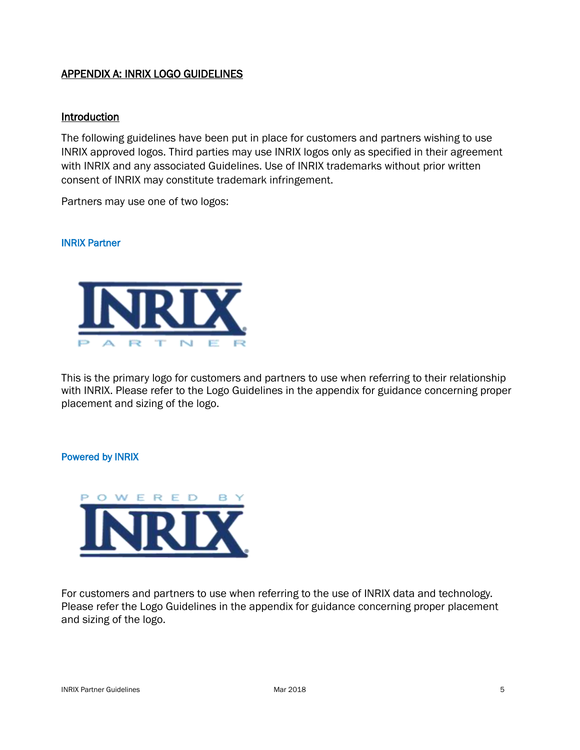# APPENDIX A: INRIX LOGO GUIDELINES

#### Introduction

The following guidelines have been put in place for customers and partners wishing to use INRIX approved logos. Third parties may use INRIX logos only as specified in their agreement with INRIX and any associated Guidelines. Use of INRIX trademarks without prior written consent of INRIX may constitute trademark infringement.

Partners may use one of two logos:

#### INRIX Partner



This is the primary logo for customers and partners to use when referring to their relationship with INRIX. Please refer to the Logo Guidelines in the appendix for guidance concerning proper placement and sizing of the logo.

#### Powered by INRIX



For customers and partners to use when referring to the use of INRIX data and technology. Please refer the Logo Guidelines in the appendix for guidance concerning proper placement and sizing of the logo.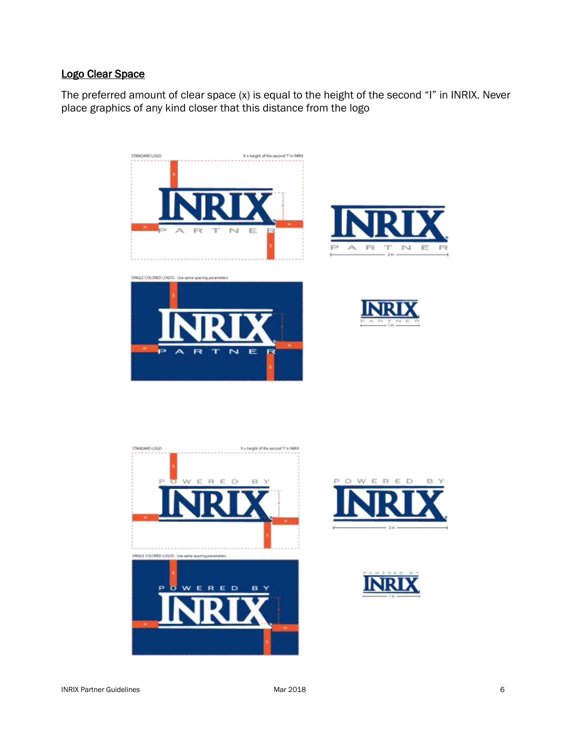# Logo Clear Space

The preferred amount of clear space (x) is equal to the height of the second "I" in INRIX. Never place graphics of any kind closer that this distance from the logo













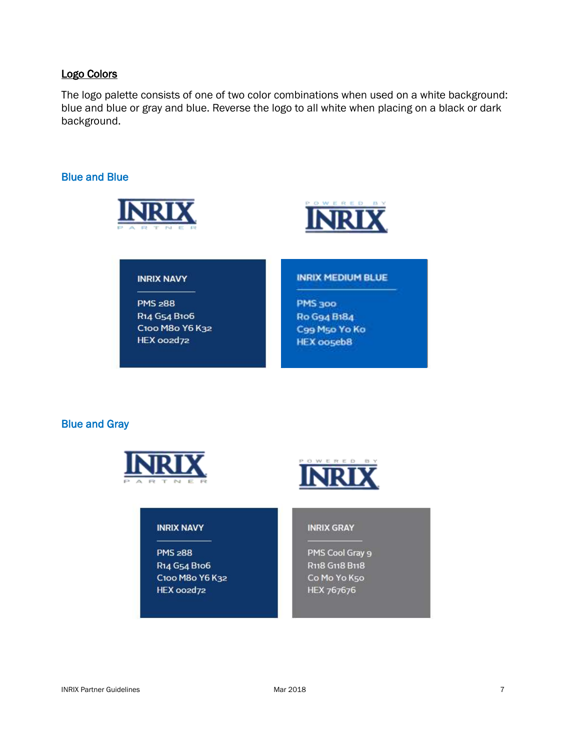## Logo Colors

The logo palette consists of one of two color combinations when used on a white background: blue and blue or gray and blue. Reverse the logo to all white when placing on a black or dark background.

# Blue and Blue





#### **INRIX NAVY**

**PMS 288** R14 G54 B106 C100 M80 Y6 K32 HEX oozd72

#### **INRIX MEDIUM BLUE**

PMS 300 Ro G94 B184 C99 M50 Yo Ko **HEX ooseb8** 

## Blue and Gray





#### **INRIX NAVY**

**PMS 288** R14 G54 B106 C100 M80 Y6 K32 HEX oozd72

#### **INRIX GRAY**

PMS Cool Gray 9 R118 G118 B118 Co Mo Yo K50 HEX 767676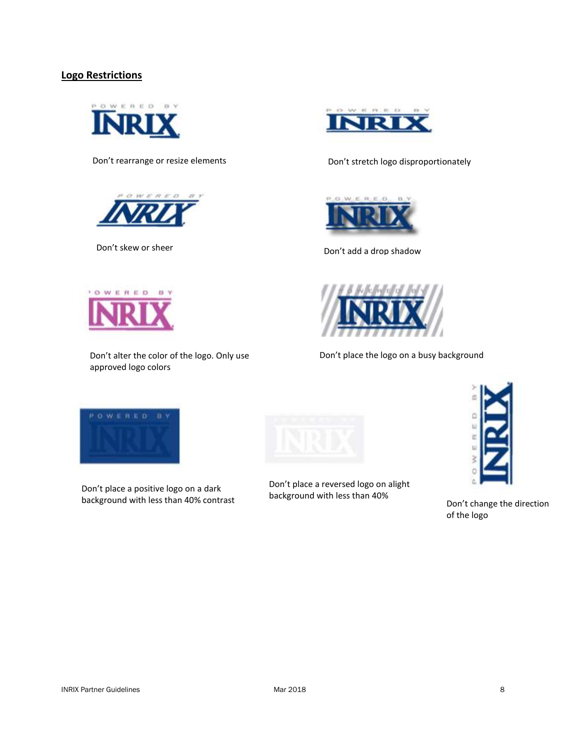#### **Logo Restrictions**







Don't alter the color of the logo. Only use approved logo colors



Don't rearrange or resize elements Don't stretch logo disproportionately



Don't add a drop shadow Don't skew or sheer



Don't place the logo on a busy background



Don't place a positive logo on a dark background with less than 40% contrast



Don't place a reversed logo on alight background with less than 40%



Don't change the direction of the logo